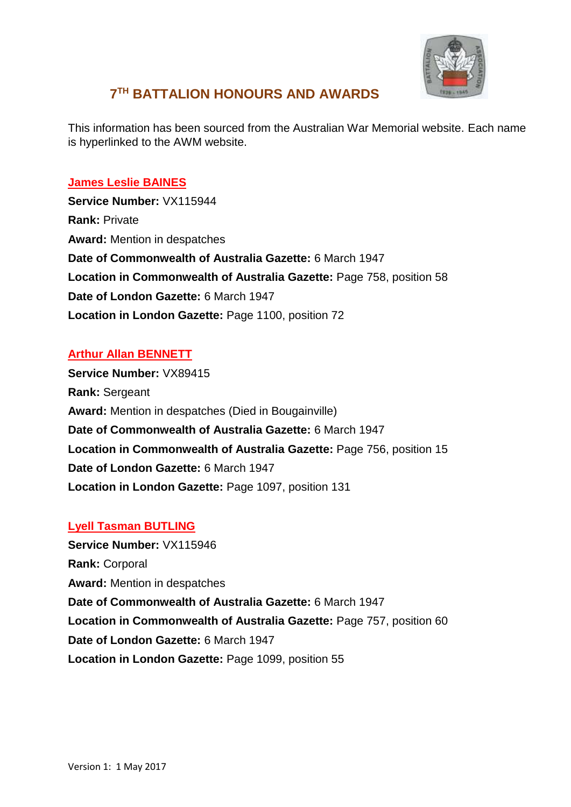

# **7 TH BATTALION HONOURS AND AWARDS**

This information has been sourced from the Australian War Memorial website. Each name is hyperlinked to the AWM website.

# **[James Leslie BAINES](https://www.awm.gov.au/people/rolls/R1511186/)**

**Service Number:** VX115944 **Rank:** Private **Award:** Mention in despatches **Date of Commonwealth of Australia Gazette:** 6 March 1947 **Location in Commonwealth of Australia Gazette:** Page 758, position 58 **Date of London Gazette:** 6 March 1947 **Location in London Gazette:** Page 1100, position 72

# **[Arthur Allan BENNETT](https://www.awm.gov.au/people/rolls/R1534539/)**

**Service Number:** VX89415 **Rank:** Sergeant **Award:** Mention in despatches (Died in Bougainville) **Date of Commonwealth of Australia Gazette:** 6 March 1947 **Location in Commonwealth of Australia Gazette:** Page 756, position 15 **Date of London Gazette:** 6 March 1947 **Location in London Gazette:** Page 1097, position 131

## **[Lyell Tasman BUTLING](https://www.awm.gov.au/people/rolls/R1511187/)**

**Service Number:** VX115946 **Rank:** Corporal **Award:** Mention in despatches **Date of Commonwealth of Australia Gazette:** 6 March 1947 **Location in Commonwealth of Australia Gazette:** Page 757, position 60 **Date of London Gazette:** 6 March 1947 **Location in London Gazette:** Page 1099, position 55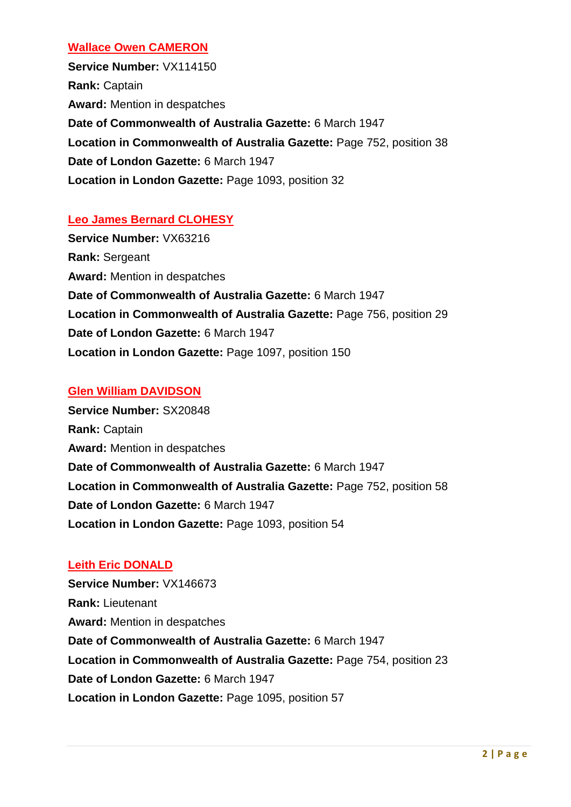#### **[Wallace Owen CAMERON](https://www.awm.gov.au/people/rolls/R1510530/)**

**Service Number:** VX114150 **Rank:** Captain **Award:** Mention in despatches **Date of Commonwealth of Australia Gazette:** 6 March 1947 **Location in Commonwealth of Australia Gazette:** Page 752, position 38 **Date of London Gazette:** 6 March 1947 **Location in London Gazette:** Page 1093, position 32

## **[Leo James Bernard CLOHESY](https://www.awm.gov.au/people/rolls/R1532736/)**

**Service Number:** VX63216 **Rank:** Sergeant **Award:** Mention in despatches **Date of Commonwealth of Australia Gazette:** 6 March 1947 **Location in Commonwealth of Australia Gazette:** Page 756, position 29 **Date of London Gazette:** 6 March 1947 **Location in London Gazette:** Page 1097, position 150

#### **[Glen William DAVIDSON](https://www.awm.gov.au/people/rolls/R1507996/)**

**Service Number:** SX20848 **Rank:** Captain **Award:** Mention in despatches **Date of Commonwealth of Australia Gazette:** 6 March 1947 **Location in Commonwealth of Australia Gazette:** Page 752, position 58 **Date of London Gazette:** 6 March 1947 **Location in London Gazette:** Page 1093, position 54

## **[Leith Eric DONALD](https://www.awm.gov.au/people/rolls/R1507874/)**

**Service Number:** VX146673 **Rank:** Lieutenant **Award:** Mention in despatches **Date of Commonwealth of Australia Gazette:** 6 March 1947 **Location in Commonwealth of Australia Gazette:** Page 754, position 23 **Date of London Gazette:** 6 March 1947 **Location in London Gazette:** Page 1095, position 57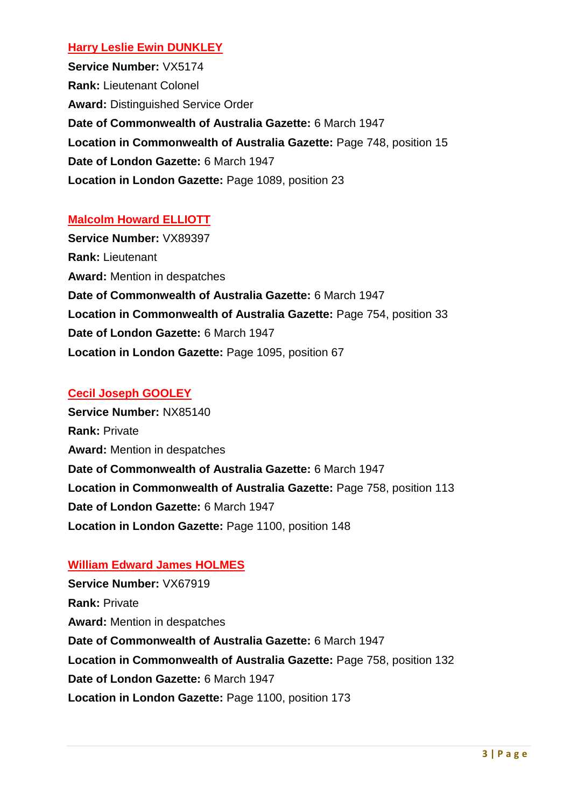## **[Harry Leslie Ewin DUNKLEY](https://www.awm.gov.au/people/rolls/R1532942/)**

**Service Number:** VX5174 **Rank:** Lieutenant Colonel **Award:** Distinguished Service Order **Date of Commonwealth of Australia Gazette:** 6 March 1947 **Location in Commonwealth of Australia Gazette:** Page 748, position 15 **Date of London Gazette:** 6 March 1947 **Location in London Gazette:** Page 1089, position 23

#### **[Malcolm Howard ELLIOTT](https://www.awm.gov.au/people/rolls/R1534537/)**

**Service Number:** VX89397 **Rank:** Lieutenant **Award:** Mention in despatches **Date of Commonwealth of Australia Gazette:** 6 March 1947 **Location in Commonwealth of Australia Gazette:** Page 754, position 33 **Date of London Gazette:** 6 March 1947 **Location in London Gazette:** Page 1095, position 67

## **[Cecil Joseph GOOLEY](https://www.awm.gov.au/people/rolls/R1518044/)**

**Service Number:** NX85140 **Rank:** Private **Award:** Mention in despatches **Date of Commonwealth of Australia Gazette:** 6 March 1947 **Location in Commonwealth of Australia Gazette:** Page 758, position 113 **Date of London Gazette:** 6 March 1947 **Location in London Gazette:** Page 1100, position 148

#### **[William Edward James HOLMES](https://www.awm.gov.au/people/rolls/R1533856/)**

**Service Number:** VX67919 **Rank:** Private **Award:** Mention in despatches **Date of Commonwealth of Australia Gazette:** 6 March 1947 **Location in Commonwealth of Australia Gazette:** Page 758, position 132 **Date of London Gazette:** 6 March 1947 **Location in London Gazette:** Page 1100, position 173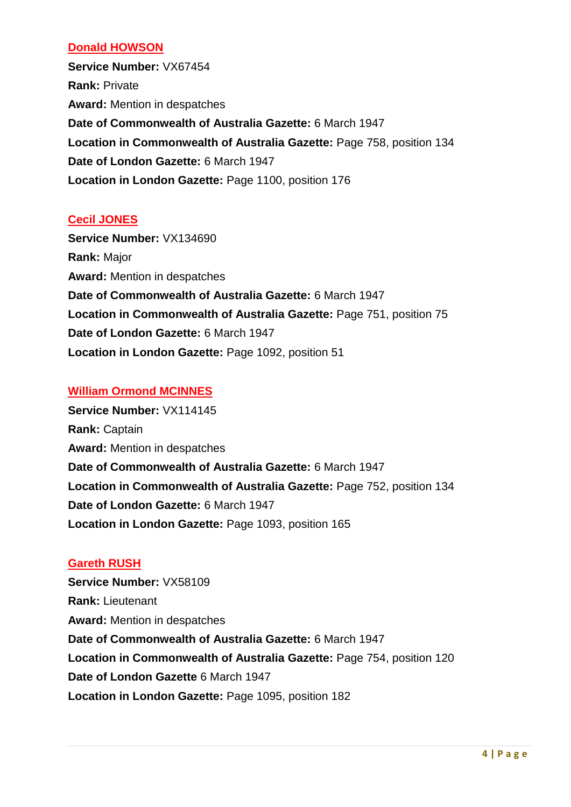## **[Donald HOWSON](https://www.awm.gov.au/people/rolls/R1533851/)**

**Service Number:** VX67454 **Rank:** Private **Award:** Mention in despatches **Date of Commonwealth of Australia Gazette:** 6 March 1947 **Location in Commonwealth of Australia Gazette:** Page 758, position 134 **Date of London Gazette:** 6 March 1947 **Location in London Gazette:** Page 1100, position 176

#### **[Cecil JONES](https://www.awm.gov.au/people/rolls/R1511210/)**

**Service Number:** VX134690 **Rank:** Major **Award:** Mention in despatches **Date of Commonwealth of Australia Gazette:** 6 March 1947 **Location in Commonwealth of Australia Gazette:** Page 751, position 75 **Date of London Gazette:** 6 March 1947 **Location in London Gazette:** Page 1092, position 51

## **[William Ormond MCINNES](https://www.awm.gov.au/people/rolls/R1510527/)**

**Service Number:** VX114145 **Rank:** Captain **Award:** Mention in despatches **Date of Commonwealth of Australia Gazette:** 6 March 1947 **Location in Commonwealth of Australia Gazette:** Page 752, position 134 **Date of London Gazette:** 6 March 1947 **Location in London Gazette:** Page 1093, position 165

#### **[Gareth RUSH](https://www.awm.gov.au/people/rolls/R1534960/)**

**Service Number:** VX58109 **Rank:** Lieutenant **Award:** Mention in despatches **Date of Commonwealth of Australia Gazette:** 6 March 1947 **Location in Commonwealth of Australia Gazette:** Page 754, position 120 **Date of London Gazette** 6 March 1947 **Location in London Gazette:** Page 1095, position 182